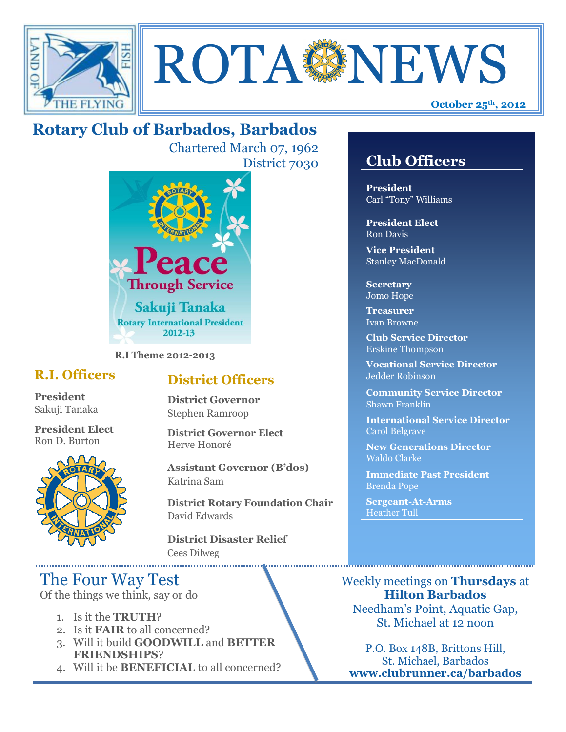



# **Rotary Club of Barbados, Barbados**

Chartered March 07, 1962 District 7030



**R.I Theme 2012-2013**

### **R.I. Officers**

**President**  Sakuji Tanaka

**President Elect** Ron D. Burton



### **District Officers**

**District Governor** Stephen Ramroop

**District Governor Elect** Herve Honoré

**Assistant Governor (B'dos)** Katrina Sam

**District Rotary Foundation Chair** David Edwards

**District Disaster Relief** Cees Dilweg

## The Four Way Test

Of the things we think, say or do

- 1. Is it the **TRUTH**?
- 2. Is it **FAIR** to all concerned?
- 3. Will it build **GOODWILL** and **BETTER FRIENDSHIPS**?
- 4. Will it be **BENEFICIAL** to all concerned?

## **Club Officers**

**Club Officers** 

**President** Carl "Tony" Williams

**President Elect** Ron Davis

**Vice President** Stanley MacDonald

**Secretary** Jomo Hope

**Treasurer** Ivan Browne

**Club Service Director** Erskine Thompson

**Vocational Service Director** Jedder Robinson

**Community Service Director** Shawn Franklin

**International Service Director** Carol Belgrave

**New Generations Director** Waldo Clarke

**Immediate Past President** Brenda Pope

**Sergeant-At-Arms** Heather Tull

Weekly meetings on **Thursdays** at **Hilton Barbados** Needham's Point, Aquatic Gap, St. Michael at 12 noon

P.O. Box 148B, Brittons Hill, St. Michael, Barbados **www.clubrunner.ca/barbados**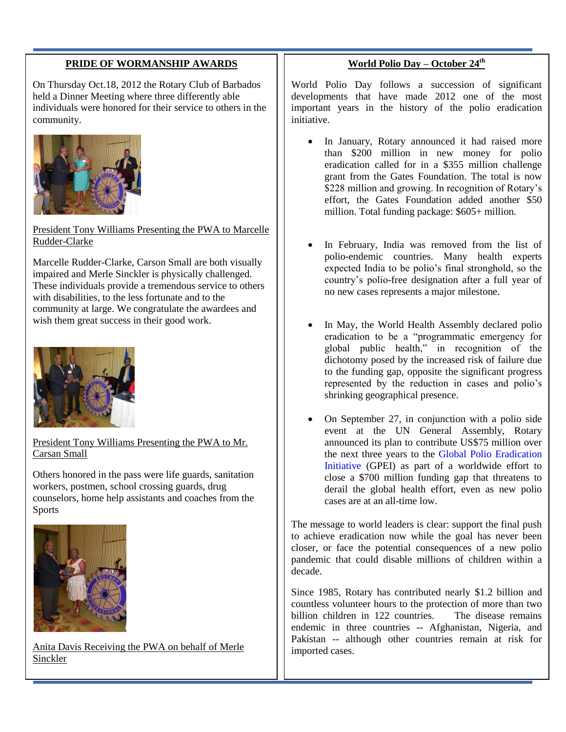#### **PRIDE OF WORMANSHIP AWARDS**

On Thursday Oct.18, 2012 the Rotary Club of Barbados held a Dinner Meeting where three differently able individuals were honored for their service to others in the community.



President Tony Williams Presenting the PWA to Marcelle Rudder-Clarke

Marcelle Rudder-Clarke, Carson Small are both visually impaired and Merle Sinckler is physically challenged. These individuals provide a tremendous service to others with disabilities, to the less fortunate and to the community at large. We congratulate the awardees and wish them great success in their good work.



President Tony Williams Presenting the PWA to Mr. Carsan Small

Others honored in the pass were life guards, sanitation workers, postmen, school crossing guards, drug counselors, home help assistants and coaches from the **Sports** 



Anita Davis Receiving the PWA on behalf of Merle Sinckler

#### **World Polio Day – October 24th**

World Polio Day follows a succession of significant developments that have made 2012 one of the most important years in the history of the polio eradication initiative.

- In January, Rotary announced it had raised more than \$200 million in new money for polio eradication called for in a \$355 million challenge grant from the Gates Foundation. The total is now \$228 million and growing. In recognition of Rotary's effort, the Gates Foundation added another \$50 million. Total funding package: \$605+ million.
- In February, India was removed from the list of polio-endemic countries. Many health experts expected India to be polio's final stronghold, so the country's polio-free designation after a full year of no new cases represents a major milestone.
- In May, the World Health Assembly declared polio eradication to be a "programmatic emergency for global public health," in recognition of the dichotomy posed by the increased risk of failure due to the funding gap, opposite the significant progress represented by the reduction in cases and polio's shrinking geographical presence.
- On September 27, in conjunction with a polio side event at the UN General Assembly, Rotary announced its plan to contribute US\$75 million over the next three years to the [Global Polio Eradication](http://www.polioeradication.org/)  [Initiative](http://www.polioeradication.org/) (GPEI) as part of a worldwide effort to close a \$700 million funding gap that threatens to derail the global health effort, even as new polio cases are at an all-time low.

The message to world leaders is clear: support the final push to achieve eradication now while the goal has never been closer, or face the potential consequences of a new polio pandemic that could disable millions of children within a decade.

Since 1985, Rotary has contributed nearly \$1.2 billion and countless volunteer hours to the protection of more than two billion children in 122 countries. The disease remains endemic in three countries -- Afghanistan, Nigeria, and Pakistan -- although other countries remain at risk for imported cases.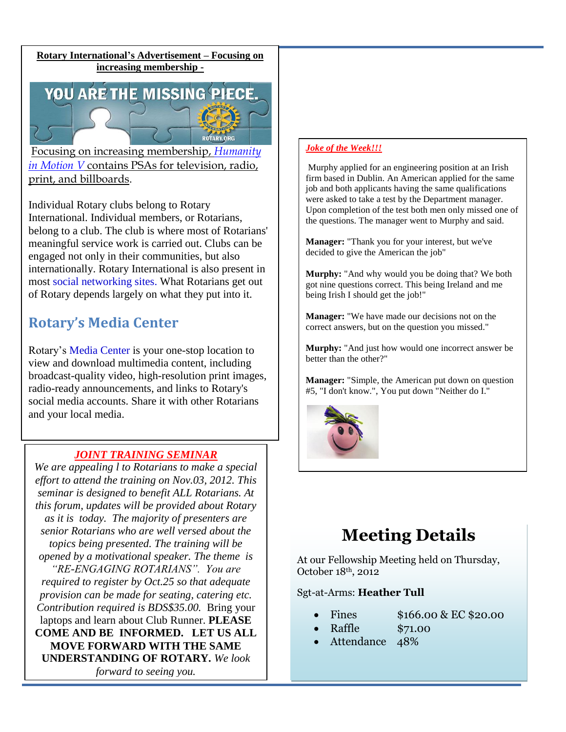**Rotary International's Advertisement – Focusing on increasing membership -**

YOU ARE THE MISSING PIECE.

ROTARY.ORG Focusing on increasing membership, *[Humanity](http://www.rotary.org/en/Members/RunningAClub/InformingTheCommunity/Pages/HumanityinMotion.aspx)  [in Motion V](http://www.rotary.org/en/Members/RunningAClub/InformingTheCommunity/Pages/HumanityinMotion.aspx)* contains PSAs for television, radio, print, and billboards.

Individual Rotary clubs belong to Rotary International. Individual members, or Rotarians, belong to a club. The club is where most of Rotarians' meaningful service work is carried out. Clubs can be engaged not only in their communities, but also internationally. Rotary International is also present in most [social networking sites.](http://www.rotary.org/en/MediaAndNews/Multimedia/social_networking/Pages/ridefault.aspx) What Rotarians get out of Rotary depends largely on what they put into it.

### **Rotary's Media Center**

Rotary's [Media Center](http://rotary.synapticdigital.com/) is your one-stop location to view and download multimedia content, including broadcast-quality video, high-resolution print images, radio-ready announcements, and links to Rotary's social media accounts. Share it with other Rotarians and your local media.

#### *JOINT TRAINING SEMINAR*

*We are appealing l to Rotarians to make a special effort to attend the training on Nov.03, 2012. This seminar is designed to benefit ALL Rotarians. At this forum, updates will be provided about Rotary as it is today. The majority of presenters are senior Rotarians who are well versed about the topics being presented. The training will be opened by a motivational speaker. The theme is "RE-ENGAGING ROTARIANS". You are required to register by Oct.25 so that adequate provision can be made for seating, catering etc. Contribution required is BDS\$35.00.* Bring your laptops and learn about Club Runner. **PLEASE COME AND BE INFORMED. LET US ALL MOVE FORWARD WITH THE SAME UNDERSTANDING OF ROTARY.** *We look forward to seeing you.*

#### *Joke of the Week!!!*

Murphy applied for an engineering position at an Irish firm based in Dublin. An American applied for the same job and both applicants having the same qualifications were asked to take a test by the Department manager. Upon completion of the test both men only missed one of the questions. The manager went to Murphy and said.

**Manager:** "Thank you for your interest, but we've decided to give the American the job"

**Murphy:** "And why would you be doing that? We both got nine questions correct. This being Ireland and me being Irish I should get the job!"

**Manager:** "We have made our decisions not on the correct answers, but on the question you missed."

**Murphy:** "And just how would one incorrect answer be better than the other?"

**Manager:** "Simple, the American put down on question #5, "I don't know.", You put down "Neither do I."



# **Meeting Details**

At our Fellowship Meeting held on Thursday, October 18th, 2012

Sgt-at-Arms: **Heather Tull**

- 
- Fines  $$166.00 \& \text{EC} $20.00$ 
	- Raffle \$71.00
- Attendance 48%